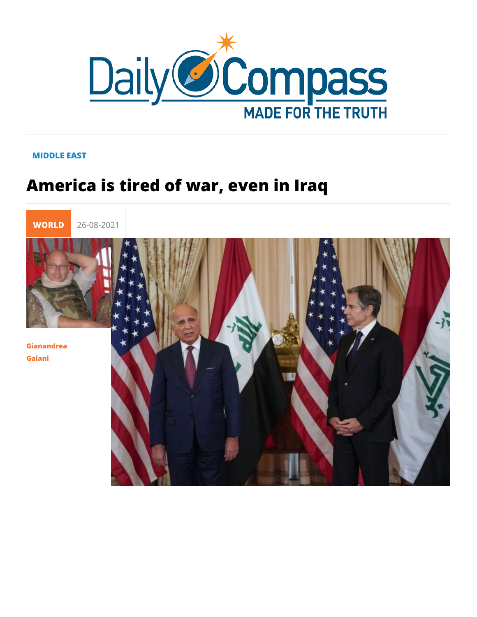## MIDDLE EAST

## America is tired of war, even in Iraq

WORLI 26-08-2021

Gianandrea Gaiani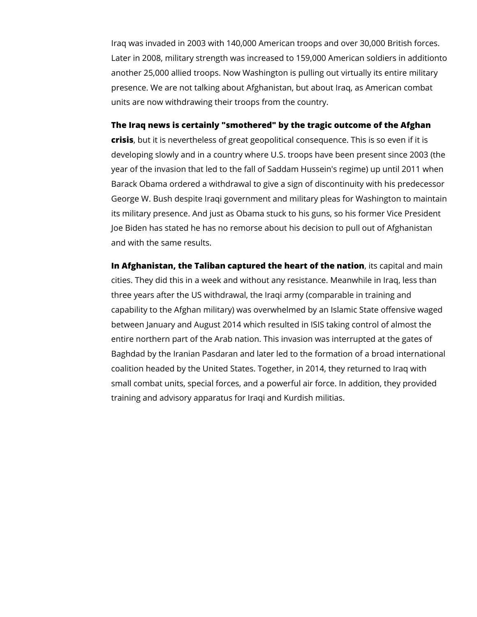Iraq was invaded in 2003 with 140,000 American troops and over 30,000 British forces. Later in 2008, military strength was increased to 159,000 American soldiers in additionto another 25,000 allied troops. Now Washington is pulling out virtually its entire military presence. We are not talking about Afghanistan, but about Iraq, as American combat units are now withdrawing their troops from the country.

## **The Iraq news is certainly "smothered" by the tragic outcome of the Afghan**

**crisis**, but it is nevertheless of great geopolitical consequence. This is so even if it is developing slowly and in a country where U.S. troops have been present since 2003 (the year of the invasion that led to the fall of Saddam Hussein's regime) up until 2011 when Barack Obama ordered a withdrawal to give a sign of discontinuity with his predecessor George W. Bush despite Iraqi government and military pleas for Washington to maintain its military presence. And just as Obama stuck to his guns, so his former Vice President Joe Biden has stated he has no remorse about his decision to pull out of Afghanistan and with the same results.

**In Afghanistan, the Taliban captured the heart of the nation**, its capital and main cities. They did this in a week and without any resistance. Meanwhile in Iraq, less than three years after the US withdrawal, the Iraqi army (comparable in training and capability to the Afghan military) was overwhelmed by an Islamic State offensive waged between January and August 2014 which resulted in ISIS taking control of almost the entire northern part of the Arab nation. This invasion was interrupted at the gates of Baghdad by the Iranian Pasdaran and later led to the formation of a broad international coalition headed by the United States. Together, in 2014, they returned to Iraq with small combat units, special forces, and a powerful air force. In addition, they provided training and advisory apparatus for Iraqi and Kurdish militias.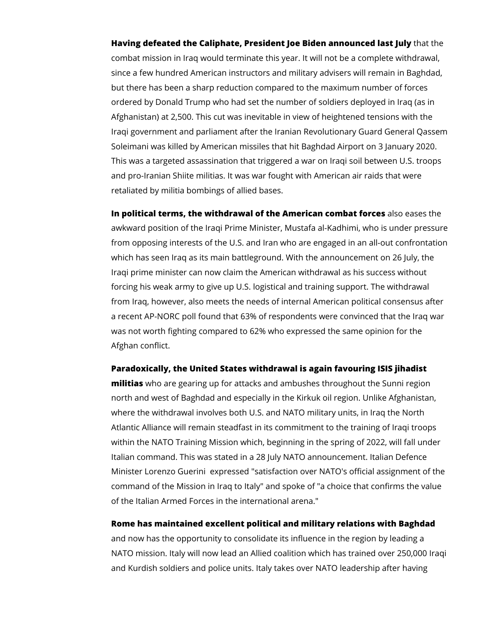**Having defeated the Caliphate, President Joe Biden announced last July** that the combat mission in Iraq would terminate this year. It will not be a complete withdrawal, since a few hundred American instructors and military advisers will remain in Baghdad, but there has been a sharp reduction compared to the maximum number of forces ordered by Donald Trump who had set the number of soldiers deployed in Iraq (as in Afghanistan) at 2,500. This cut was inevitable in view of heightened tensions with the Iraqi government and parliament after the Iranian Revolutionary Guard General Qassem Soleimani was killed by American missiles that hit Baghdad Airport on 3 January 2020. This was a targeted assassination that triggered a war on Iraqi soil between U.S. troops and pro-Iranian Shiite militias. It was war fought with American air raids that were retaliated by militia bombings of allied bases.

**In political terms, the withdrawal of the American combat forces** also eases the awkward position of the Iraqi Prime Minister, Mustafa al-Kadhimi, who is under pressure from opposing interests of the U.S. and Iran who are engaged in an all-out confrontation which has seen Iraq as its main battleground. With the announcement on 26 July, the Iraqi prime minister can now claim the American withdrawal as his success without forcing his weak army to give up U.S. logistical and training support. The withdrawal from Iraq, however, also meets the needs of internal American political consensus after a recent AP-NORC poll found that 63% of respondents were convinced that the Iraq war was not worth fighting compared to 62% who expressed the same opinion for the Afghan conflict.

**Paradoxically, the United States withdrawal is again favouring ISIS jihadist** 

**militias** who are gearing up for attacks and ambushes throughout the Sunni region north and west of Baghdad and especially in the Kirkuk oil region. Unlike Afghanistan, where the withdrawal involves both U.S. and NATO military units, in Iraq the North Atlantic Alliance will remain steadfast in its commitment to the training of Iraqi troops within the NATO Training Mission which, beginning in the spring of 2022, will fall under Italian command. This was stated in a 28 July NATO announcement. Italian Defence Minister Lorenzo Guerini expressed "satisfaction over NATO's official assignment of the command of the Mission in Iraq to Italy" and spoke of "a choice that confirms the value of the Italian Armed Forces in the international arena."

**Rome has maintained excellent political and military relations with Baghdad** 

and now has the opportunity to consolidate its influence in the region by leading a NATO mission. Italy will now lead an Allied coalition which has trained over 250,000 Iraqi and Kurdish soldiers and police units. Italy takes over NATO leadership after having